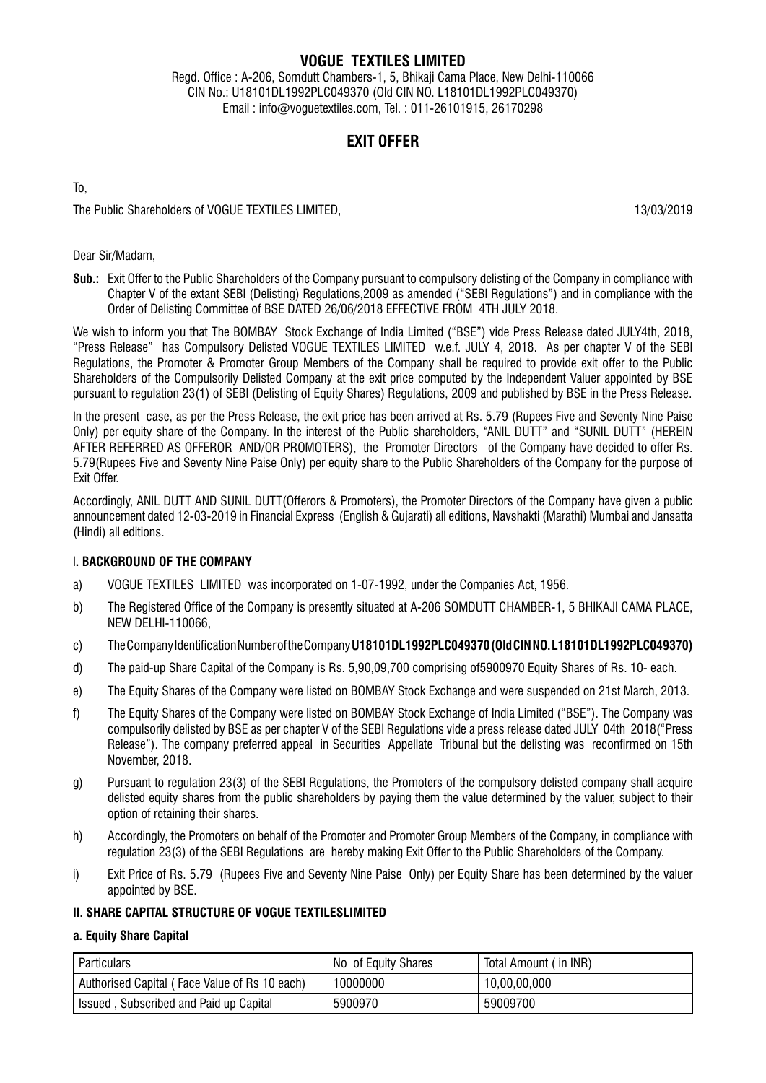# **VOGUE TEXTILES LIMITED**

Regd. Office : A-206, Somdutt Chambers-1, 5, Bhikaji Cama Place, New Delhi-110066 CIN No.: U18101DL1992PLC049370 (Old CIN NO. L18101DL1992PLC049370) Email : info@voguetextiles.com, Tel. : 011-26101915, 26170298

# **Exit Offer**

To,

The Public Shareholders of VOGUE TEXTILES LIMITED. 13/03/2019

# Dear Sir/Madam,

**Sub.:** Exit Offer to the Public Shareholders of the Company pursuant to compulsory delisting of the Company in compliance with Chapter V of the extant SEBI (Delisting) Regulations,2009 as amended ("SEBI Regulations") and in compliance with the Order of Delisting Committee of BSE DATED 26/06/2018 EFFECTIVE FROM 4TH JULY 2018.

We wish to inform you that The BOMBAY Stock Exchange of India Limited ("BSE") vide Press Release dated JULY4th, 2018, "Press Release" has Compulsory Delisted VOGUE TEXTILES LIMITED w.e.f. JULY 4, 2018. As per chapter V of the SEBI Regulations, the Promoter & Promoter Group Members of the Company shall be required to provide exit offer to the Public Shareholders of the Compulsorily Delisted Company at the exit price computed by the Independent Valuer appointed by BSE pursuant to regulation 23(1) of SEBI (Delisting of Equity Shares) Regulations, 2009 and published by BSE in the Press Release.

In the present case, as per the Press Release, the exit price has been arrived at Rs. 5.79 (Rupees Five and Seventy Nine Paise Only) per equity share of the Company. In the interest of the Public shareholders, "ANIL DUTT" and "SUNIL DUTT" (HEREIN AFTER REFERRED AS OFFEROR AND/OR PROMOTERS), the Promoter Directors of the Company have decided to offer Rs. 5.79(Rupees Five and Seventy Nine Paise Only) per equity share to the Public Shareholders of the Company for the purpose of Exit Offer.

Accordingly, ANIL DUTT AND SUNIL DUTT(Offerors & Promoters), the Promoter Directors of the Company have given a public announcement dated 12-03-2019 in Financial Express (English & Gujarati) all editions, Navshakti (Marathi) Mumbai and Jansatta (Hindi) all editions.

# I**. BACKGROUND OF THE COMPANY**

- a) VOGUE TEXTILES LIMITED was incorporated on 1-07-1992, under the Companies Act, 1956.
- b) The Registered Office of the Company is presently situated at A-206 SOMDUTT CHAMBER-1, 5 BHIKAJI CAMA PLACE, NEW DELHI-110066,
- c) The Company Identification Number of the Company **U18101DL1992PLC049370 (Old CIN NO. L18101DL1992PLC049370)**
- d) The paid-up Share Capital of the Company is Rs. 5,90,09,700 comprising of5900970 Equity Shares of Rs. 10- each.
- e) The Equity Shares of the Company were listed on BOMBAY Stock Exchange and were suspended on 21st March, 2013.
- f) The Equity Shares of the Company were listed on BOMBAY Stock Exchange of India Limited ("BSE"). The Company was compulsorily delisted by BSE as per chapter V of the SEBI Regulations vide a press release dated JULY 04th 2018("Press Release"). The company preferred appeal in Securities Appellate Tribunal but the delisting was reconfirmed on 15th November, 2018.
- g) Pursuant to regulation 23(3) of the SEBI Regulations, the Promoters of the compulsory delisted company shall acquire delisted equity shares from the public shareholders by paying them the value determined by the valuer, subject to their option of retaining their shares.
- h) Accordingly, the Promoters on behalf of the Promoter and Promoter Group Members of the Company, in compliance with regulation 23(3) of the SEBI Regulations are hereby making Exit Offer to the Public Shareholders of the Company.
- i) Exit Price of Rs. 5.79 (Rupees Five and Seventy Nine Paise Only) per Equity Share has been determined by the valuer appointed by BSE.

# **II. SHARE CAPITAL STRUCTURE OF VOGUE TEXTILESLIMITED**

# **a. Equity Share Capital**

| Particulars                                   | No of Equity Shares | Total Amount (in INR) |
|-----------------------------------------------|---------------------|-----------------------|
| Authorised Capital (Face Value of Rs 10 each) | 10000000            | 10,00,00,000          |
| , Subscribed and Paid up Capital<br>Issued    | 5900970             | 59009700              |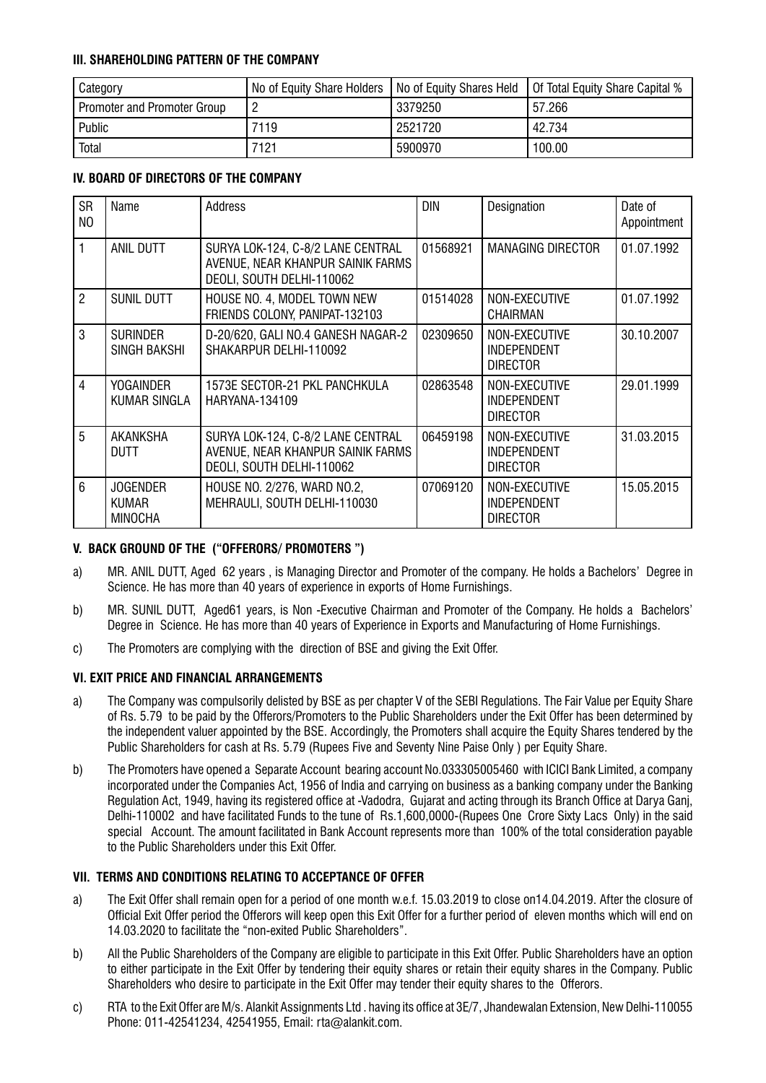# **III. SHAREHOLDING PATTERN OF THE COMPANY**

| Category                    | No of Equity Share Holders | No of Equity Shares Held | Of Total Equity Share Capital % |
|-----------------------------|----------------------------|--------------------------|---------------------------------|
| Promoter and Promoter Group |                            | 3379250                  | 57.266                          |
| Public                      | 7119                       | 2521720                  | 42.734                          |
| <b>Total</b>                | 7121                       | 5900970                  | 100.00                          |

# **IV. BOARD OF DIRECTORS OF THE COMPANY**

| <b>SR</b><br>N <sub>O</sub> | Name                                | Address                                                                                             | <b>DIN</b> | Designation                                            | Date of<br>Appointment |
|-----------------------------|-------------------------------------|-----------------------------------------------------------------------------------------------------|------------|--------------------------------------------------------|------------------------|
| 1                           | <b>ANIL DUTT</b>                    | SURYA LOK-124, C-8/2 LANE CENTRAL<br>AVENUE, NEAR KHANPUR SAINIK FARMS<br>DEOLI, SOUTH DELHI-110062 | 01568921   | <b>MANAGING DIRECTOR</b>                               | 01.07.1992             |
| $\overline{2}$              | SUNIL DUTT                          | HOUSE NO. 4, MODEL TOWN NEW<br>FRIENDS COLONY, PANIPAT-132103                                       | 01514028   | NON-EXECUTIVE<br>CHAIRMAN                              | 01.07.1992             |
| 3                           | <b>SURINDER</b><br>SINGH BAKSHI     | D-20/620, GALI NO.4 GANESH NAGAR-2<br>SHAKARPUR DELHI-110092                                        | 02309650   | NON-EXECUTIVE<br><b>INDEPENDENT</b><br><b>DIRECTOR</b> | 30.10.2007             |
| $\overline{4}$              | YOGAINDER<br>KUMAR SINGLA           | 1573E SECTOR-21 PKL PANCHKULA<br>HARYANA-134109                                                     | 02863548   | NON-EXECUTIVE<br>INDEPENDENT<br><b>DIRECTOR</b>        | 29.01.1999             |
| 5                           | AKANKSHA<br>DUTT                    | SURYA LOK-124, C-8/2 LANE CENTRAL<br>AVENUE, NEAR KHANPUR SAINIK FARMS<br>DEOLI, SOUTH DELHI-110062 | 06459198   | NON-EXECUTIVE<br><b>INDEPENDENT</b><br><b>DIRECTOR</b> | 31.03.2015             |
| $6\phantom{1}$              | <b>JOGENDER</b><br>KUMAR<br>MINOCHA | HOUSE NO. 2/276, WARD NO.2,<br>MEHRAULI, SOUTH DELHI-110030                                         | 07069120   | NON-EXECUTIVE<br><b>INDEPENDENT</b><br><b>DIRECTOR</b> | 15.05.2015             |

# **V. BACK GROUND OF THE ("OFFERORS/ PROMOTERS ")**

- a) MR. ANIL DUTT, Aged 62 years , is Managing Director and Promoter of the company. He holds a Bachelors' Degree in Science. He has more than 40 years of experience in exports of Home Furnishings.
- b) MR. SUNIL DUTT, Aged61 years, is Non -Executive Chairman and Promoter of the Company. He holds a Bachelors' Degree in Science. He has more than 40 years of Experience in Exports and Manufacturing of Home Furnishings.
- c) The Promoters are complying with the direction of BSE and giving the Exit Offer.

# **VI. EXIT PRICE AND FINANCIAL ARRANGEMENTS**

- a) The Company was compulsorily delisted by BSE as per chapter V of the SEBI Regulations. The Fair Value per Equity Share of Rs. 5.79 to be paid by the Offerors/Promoters to the Public Shareholders under the Exit Offer has been determined by the independent valuer appointed by the BSE. Accordingly, the Promoters shall acquire the Equity Shares tendered by the Public Shareholders for cash at Rs. 5.79 (Rupees Five and Seventy Nine Paise Only ) per Equity Share.
- b) The Promoters have opened a Separate Account bearing account No.033305005460 with ICICI Bank Limited, a company incorporated under the Companies Act, 1956 of India and carrying on business as a banking company under the Banking Regulation Act, 1949, having its registered office at -Vadodra, Gujarat and acting through its Branch Office at Darya Ganj, Delhi-110002 and have facilitated Funds to the tune of Rs.1,600,0000-(Rupees One Crore Sixty Lacs Only) in the said special Account. The amount facilitated in Bank Account represents more than 100% of the total consideration payable to the Public Shareholders under this Exit Offer.

# **VII. TERMS AND CONDITIONS RELATING TO ACCEPTANCE OF OFFER**

- a) The Exit Offer shall remain open for a period of one month w.e.f. 15.03.2019 to close on14.04.2019. After the closure of Official Exit Offer period the Offerors will keep open this Exit Offer for a further period of eleven months which will end on 14.03.2020 to facilitate the "non-exited Public Shareholders".
- b) All the Public Shareholders of the Company are eligible to participate in this Exit Offer. Public Shareholders have an option to either participate in the Exit Offer by tendering their equity shares or retain their equity shares in the Company. Public Shareholders who desire to participate in the Exit Offer may tender their equity shares to the Offerors.
- c) RTA to the Exit Offer are M/s. Alankit Assignments Ltd . having its office at 3E/7, Jhandewalan Extension, New Delhi-110055 Phone: 011-42541234, 42541955, Email: rta@alankit.com.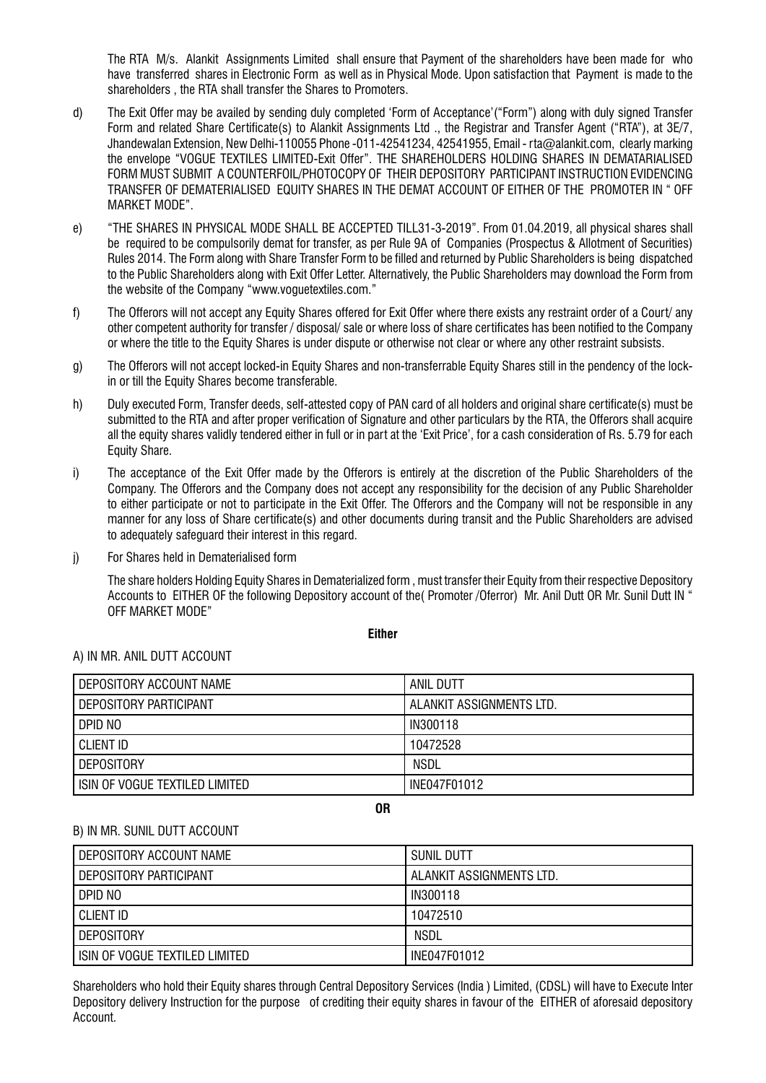The RTA M/s. Alankit Assignments Limited shall ensure that Payment of the shareholders have been made for who have transferred shares in Electronic Form as well as in Physical Mode. Upon satisfaction that Payment is made to the shareholders , the RTA shall transfer the Shares to Promoters.

- d) The Exit Offer may be availed by sending duly completed 'Form of Acceptance'("Form") along with duly signed Transfer Form and related Share Certificate(s) to Alankit Assignments Ltd ., the Registrar and Transfer Agent ("RTA"), at 3E/7, Jhandewalan Extension, New Delhi-110055 Phone -011-42541234, 42541955, Email - rta@alankit.com, clearly marking the envelope "VOGUE TEXTILES LIMITED-Exit Offer". THE SHAREHOLDERS HOLDING SHARES IN DEMATARIALISED FORM MUST SUBMIT A COUNTERFOIL/PHOTOCOPY OF THEIR DEPOSITORY PARTICIPANT INSTRUCTION EVIDENCING TRANSFER OF DEMATERIALISED EQUITY SHARES IN THE DEMAT ACCOUNT OF EITHER OF THE PROMOTER IN " OFF MARKET MODE".
- e) "THE SHARES IN PHYSICAL MODE SHALL BE ACCEPTED TILL31-3-2019". From 01.04.2019, all physical shares shall be required to be compulsorily demat for transfer, as per Rule 9A of Companies (Prospectus & Allotment of Securities) Rules 2014. The Form along with Share Transfer Form to be filled and returned by Public Shareholders is being dispatched to the Public Shareholders along with Exit Offer Letter. Alternatively, the Public Shareholders may download the Form from the website of the Company "www.voguetextiles.com."
- f) The Offerors will not accept any Equity Shares offered for Exit Offer where there exists any restraint order of a Court/ any other competent authority for transfer / disposal/ sale or where loss of share certificates has been notified to the Company or where the title to the Equity Shares is under dispute or otherwise not clear or where any other restraint subsists.
- g) The Offerors will not accept locked-in Equity Shares and non-transferrable Equity Shares still in the pendency of the lockin or till the Equity Shares become transferable.
- h) Duly executed Form, Transfer deeds, self-attested copy of PAN card of all holders and original share certificate(s) must be submitted to the RTA and after proper verification of Signature and other particulars by the RTA, the Offerors shall acquire all the equity shares validly tendered either in full or in part at the 'Exit Price', for a cash consideration of Rs. 5.79 for each Equity Share.
- i) The acceptance of the Exit Offer made by the Offerors is entirely at the discretion of the Public Shareholders of the Company. The Offerors and the Company does not accept any responsibility for the decision of any Public Shareholder to either participate or not to participate in the Exit Offer. The Offerors and the Company will not be responsible in any manner for any loss of Share certificate(s) and other documents during transit and the Public Shareholders are advised to adequately safeguard their interest in this regard.
- j) For Shares held in Dematerialised form

The share holders Holding Equity Shares in Dematerialized form , must transfer their Equity from their respective Depository Accounts to EITHER OF the following Depository account of the( Promoter /Oferror) Mr. Anil Dutt OR Mr. Sunil Dutt IN " OFF MARKET MODE"

**Either**

# A) IN MR. ANIL DUTT ACCOUNT

| I DEPOSITORY ACCOUNT NAME         | ANIL DUTT                |
|-----------------------------------|--------------------------|
| I DEPOSITORY PARTICIPANT          | ALANKIT ASSIGNMENTS LTD. |
| i dpid no                         | IN300118                 |
| I CLIENT ID                       | 10472528                 |
| I DEPOSITORY                      | NSDL                     |
| I ISIN OF VOGUE TEXTILED LIMITED. | INE047F01012             |

**OR**

# B) IN MR. SUNIL DUTT ACCOUNT

| DEPOSITORY ACCOUNT NAME        | SUNIL DUTT               |
|--------------------------------|--------------------------|
| DEPOSITORY PARTICIPANT         | ALANKIT ASSIGNMENTS LTD. |
| DPID NO                        | IN300118                 |
| I CLIENT ID                    | 10472510                 |
| <b>DEPOSITORY</b>              | <b>NSDL</b>              |
| ISIN OF VOGUE TEXTILED LIMITED | INE047F01012             |

Shareholders who hold their Equity shares through Central Depository Services (lndia ) Limited, (CDSL) will have to Execute Inter Depository delivery Instruction for the purpose of crediting their equity shares in favour of the EITHER of aforesaid depository Account.